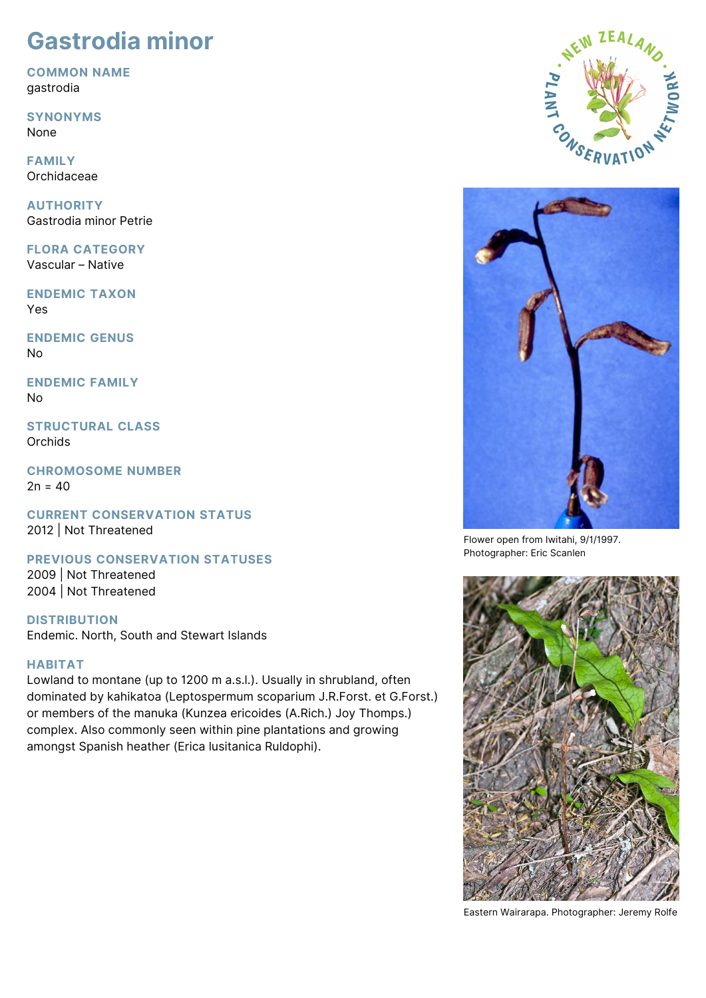# **Gastrodia minor**

**COMMON NAME** gastrodia

**SYNONYMS**

None

**FAMILY** Orchidaceae

**AUTHORITY** Gastrodia minor Petrie

**FLORA CATEGORY** Vascular – Native

**ENDEMIC TAXON** Yes

**ENDEMIC GENUS** No

**ENDEMIC FAMILY** No

**STRUCTURAL CLASS Orchids** 

**CHROMOSOME NUMBER**  $2n = 40$ 

**CURRENT CONSERVATION STATUS** 2012 | Not Threatened

**PREVIOUS CONSERVATION STATUSES**

2009 | Not Threatened 2004 | Not Threatened

**DISTRIBUTION** Endemic. North, South and Stewart Islands

## **HABITAT**

Lowland to montane (up to 1200 m a.s.l.). Usually in shrubland, often dominated by kahikatoa (Leptospermum scoparium J.R.Forst. et G.Forst.) or members of the manuka (Kunzea ericoides (A.Rich.) Joy Thomps.) complex. Also commonly seen within pine plantations and growing amongst Spanish heather (Erica lusitanica Ruldophi).





Flower open from Iwitahi, 9/1/1997. Photographer: Eric Scanlen



Eastern Wairarapa. Photographer: Jeremy Rolfe